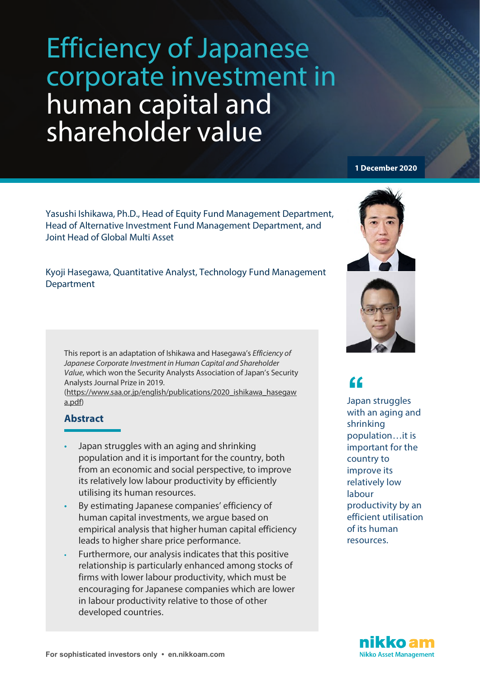Yasushi Ishikawa, Ph.D., Head of Equity Fund Management Department, Head of Alternative Investment Fund Management Department, and Joint Head of Global Multi Asset

Kyoji Hasegawa, Quantitative Analyst, Technology Fund Management Department

This report is an adaptation of Ishikawa and Hasegawa's *Efficiency of Japanese Corporate Investment in Human Capital and Shareholder Value*, which won the Security Analysts Association of Japan's Security Analysts Journal Prize in 2019.

[\(https://www.saa.or.jp/english/publications/2020\\_ishikawa\\_hasegaw](https://www.saa.or.jp/english/publications/2020_ishikawa_hasegawa.pdf) [a.pdf\)](https://www.saa.or.jp/english/publications/2020_ishikawa_hasegawa.pdf)

# **Abstract**

- Japan struggles with an aging and shrinking population and it is important for the country, both from an economic and social perspective, to improve its relatively low labour productivity by efficiently utilising its human resources.
- By estimating Japanese companies' efficiency of human capital investments, we argue based on empirical analysis that higher human capital efficiency leads to higher share price performance.
- Furthermore, our analysis indicates that this positive relationship is particularly enhanced among stocks of firms with lower labour productivity, which must be encouraging for Japanese companies which are lower in labour productivity relative to those of other developed countries.

#### **1 December 2020**





Japan struggles with an aging and shrinking population…it is important for the country to improve its relatively low labour productivity by an efficient utilisation of its human resources. **ff**<br>Japa<br>with

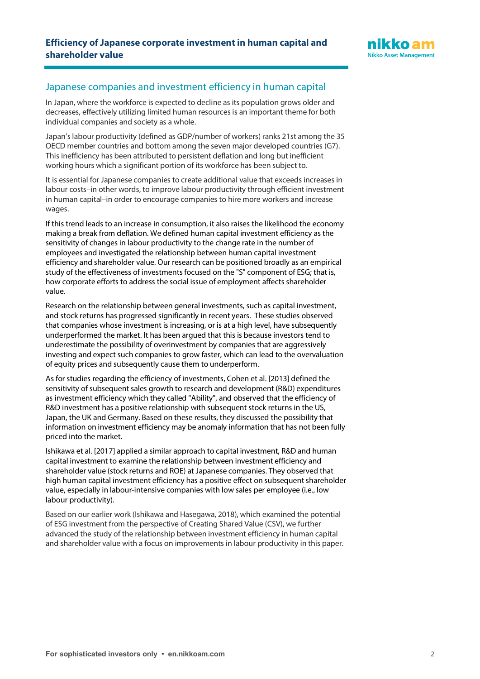

# Japanese companies and investment efficiency in human capital

In Japan, where the workforce is expected to decline as its population grows older and decreases, effectively utilizing limited human resources is an important theme for both individual companies and society as a whole.

Japan's labour productivity (defined as GDP/number of workers) ranks 21st among the 35 OECD member countries and bottom among the seven major developed countries (G7). This inefficiency has been attributed to persistent deflation and long but inefficient working hours which a significant portion of its workforce has been subject to.

It is essential for Japanese companies to create additional value that exceeds increases in labour costs–in other words, to improve labour productivity through efficient investment in human capital–in order to encourage companies to hire more workers and increase wages.

If this trend leads to an increase in consumption, it also raises the likelihood the economy making a break from deflation. We defined human capital investment efficiency as the sensitivity of changes in labour productivity to the change rate in the number of employees and investigated the relationship between human capital investment efficiency and shareholder value. Our research can be positioned broadly as an empirical study of the effectiveness of investments focused on the "S" component of ESG; that is, how corporate efforts to address the social issue of employment affects shareholder value.

Research on the relationship between general investments, such as capital investment, and stock returns has progressed significantly in recent years. These studies observed that companies whose investment is increasing, or is at a high level, have subsequently underperformed the market. It has been argued that this is because investors tend to underestimate the possibility of overinvestment by companies that are aggressively investing and expect such companies to grow faster, which can lead to the overvaluation of equity prices and subsequently cause them to underperform.

As for studies regarding the efficiency of investments, Cohen et al. [2013] defined the sensitivity of subsequent sales growth to research and development (R&D) expenditures as investment efficiency which they called "Ability", and observed that the efficiency of R&D investment has a positive relationship with subsequent stock returns in the US, Japan, the UK and Germany. Based on these results, they discussed the possibility that information on investment efficiency may be anomaly information that has not been fully priced into the market.

Ishikawa et al. [2017] applied a similar approach to capital investment, R&D and human capital investment to examine the relationship between investment efficiency and shareholder value (stock returns and ROE) at Japanese companies. They observed that high human capital investment efficiency has a positive effect on subsequent shareholder value, especially in labour-intensive companies with low sales per employee (i.e., low labour productivity).

Based on our earlier work (Ishikawa and Hasegawa, 2018), which examined the potential of ESG investment from the perspective of Creating Shared Value (CSV), we further advanced the study of the relationship between investment efficiency in human capital and shareholder value with a focus on improvements in labour productivity in this paper.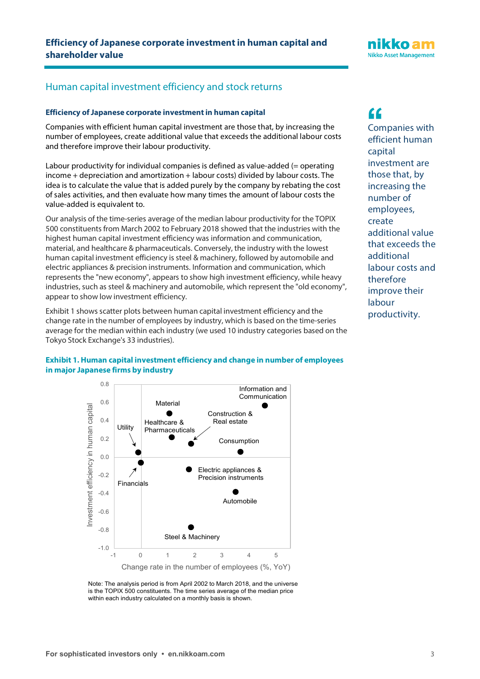# Human capital investment efficiency and stock returns

#### **Efficiency of Japanese corporate investment in human capital**

Companies with efficient human capital investment are those that, by increasing the number of employees, create additional value that exceeds the additional labour costs and therefore improve their labour productivity.

Labour productivity for individual companies is defined as value-added (= operating income + depreciation and amortization + labour costs) divided by labour costs. The idea is to calculate the value that is added purely by the company by rebating the cost of sales activities, and then evaluate how many times the amount of labour costs the value-added is equivalent to.

Our analysis of the time-series average of the median labour productivity for the TOPIX 500 constituents from March 2002 to February 2018 showed that the industries with the highest human capital investment efficiency was information and communication, material, and healthcare & pharmaceuticals. Conversely, the industry with the lowest human capital investment efficiency is steel & machinery, followed by automobile and electric appliances & precision instruments. Information and communication, which represents the "new economy", appears to show high investment efficiency, while heavy industries, such as steel & machinery and automobile, which represent the "old economy", appear to show low investment efficiency.

Exhibit 1 shows scatter plots between human capital investment efficiency and the change rate in the number of employees by industry, which is based on the time-series average for the median within each industry (we used 10 industry categories based on the Tokyo Stock Exchange's 33 industries).



nikko an **Nikko Asset Management** 

# **Exhibit 1. Human capital investment efficiency and change in number of employees in major Japanese firms by industry**



Note: The analysis period is from April 2002 to March 2018, and the universe is the TOPIX 500 constituents. The time series average of the median price within each industry calculated on a monthly basis is shown.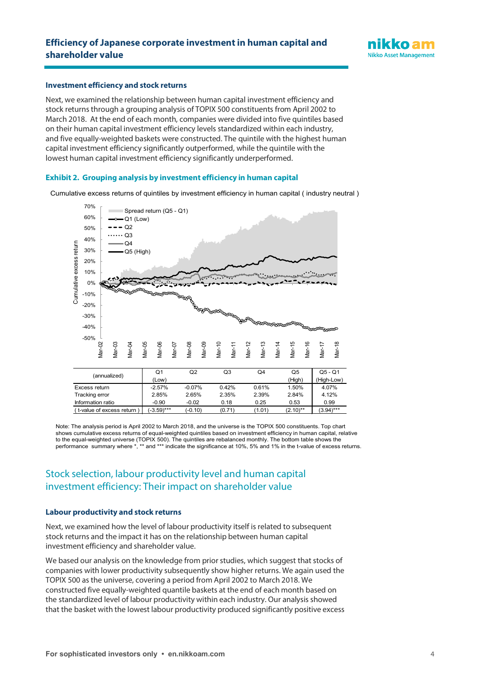

#### **Investment efficiency and stock returns**

Next, we examined the relationship between human capital investment efficiency and stock returns through a grouping analysis of TOPIX 500 constituents from April 2002 to March 2018. At the end of each month, companies were divided into five quintiles based on their human capital investment efficiency levels standardized within each industry, and five equally-weighted baskets were constructed. The quintile with the highest human capital investment efficiency significantly outperformed, while the quintile with the lowest human capital investment efficiency significantly underperformed.

#### **Exhibit 2. Grouping analysis by investment efficiency in human capital**

Cumulative excess returns of quintiles by investment efficiency in human capital ( industry neutral )



Note: The analysis period is April 2002 to March 2018, and the universe is the TOPIX 500 constituents. Top chart shows cumulative excess returns of equal-weighted quintiles based on investment efficiency in human capital, relative to the equal-weighted universe (TOPIX 500). The quintiles are rebalanced monthly. The bottom table shows the performance summary where \*, \*\* and \*\*\* indicate the significance at 10%, 5% and 1% in the t-value of excess returns.

Information ratio -0.90 -0.02 0.18 0.25 0.53 0.99

# Stock selection, labour productivity level and human capital investment efficiency: Their impact on shareholder value

#### **Labour productivity and stock returns**

 $($  t-value of excess return  $)$ 

Next, we examined how the level of labour productivity itself is related to subsequent stock returns and the impact it has on the relationship between human capital investment efficiency and shareholder value.

We based our analysis on the knowledge from prior studies, which suggest that stocks of companies with lower productivity subsequently show higher returns. We again used the TOPIX 500 as the universe, covering a period from April 2002 to March 2018. We constructed five equally-weighted quantile baskets at the end of each month based on the standardized level of labour productivity within each industry. Our analysis showed that the basket with the lowest labour productivity produced significantly positive excess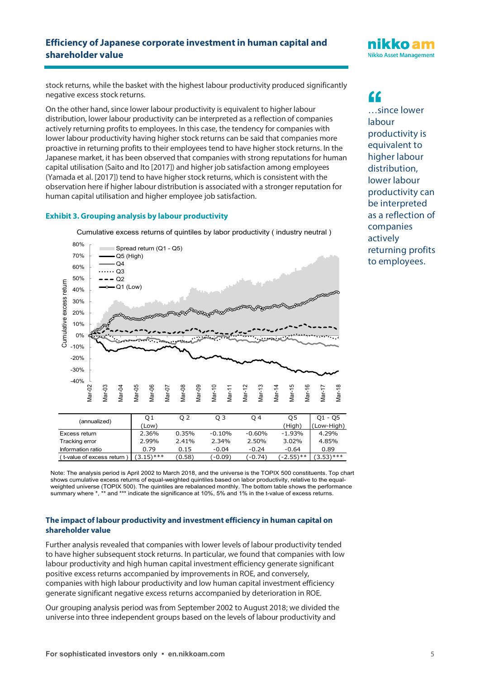stock returns, while the basket with the highest labour productivity produced significantly negative excess stock returns.

On the other hand, since lower labour productivity is equivalent to higher labour distribution, lower labour productivity can be interpreted as a reflection of companies actively returning profits to employees. In this case, the tendency for companies with lower labour productivity having higher stock returns can be said that companies more proactive in returning profits to their employees tend to have higher stock returns. In the Japanese market, it has been observed that companies with strong reputations for human capital utilisation (Saito and Ito [2017]) and higher job satisfaction among employees (Yamada et al. [2017]) tend to have higher stock returns, which is consistent with the observation here if higher labour distribution is associated with a stronger reputation for human capital utilisation and higher employee job satisfaction.

#### **Exhibit 3. Grouping analysis by labour productivity**



Cumulative excess returns of quintiles by labor productivity ( industry neutral )

Note: The analysis period is April 2002 to March 2018, and the universe is the TOPIX 500 constituents. Top chart shows cumulative excess returns of equal-weighted quintiles based on labor productivity, relative to the equalweighted universe (TOPIX 500). The quintiles are rebalanced monthly. The bottom table shows the performance summary where \*, \*\* and \*\*\* indicate the significance at 10%, 5% and 1% in the t-value of excess returns.

 $($  t-value of excess return  $)(3.15)$ \*\*\*  $(0.58)$   $(-0.09)$   $(-0.74)$   $(-2.55)$ \*\*  $(3.53)$ \*\*\*

### **The impact of labour productivity and investment efficiency in human capital on shareholder value**

Further analysis revealed that companies with lower levels of labour productivity tended to have higher subsequent stock returns. In particular, we found that companies with low labour productivity and high human capital investment efficiency generate significant positive excess returns accompanied by improvements in ROE, and conversely, companies with high labour productivity and low human capital investment efficiency generate significant negative excess returns accompanied by deterioration in ROE.

Our grouping analysis period was from September 2002 to August 2018; we divided the universe into three independent groups based on the levels of labour productivity and

nikko an **Nikko Asset Management** 

…since lower labour productivity is equivalent to higher labour distribution, lower labour productivity can be interpreted as a reflection of companies actively returning profits to employees. **ff**<br>
...si<br>
labo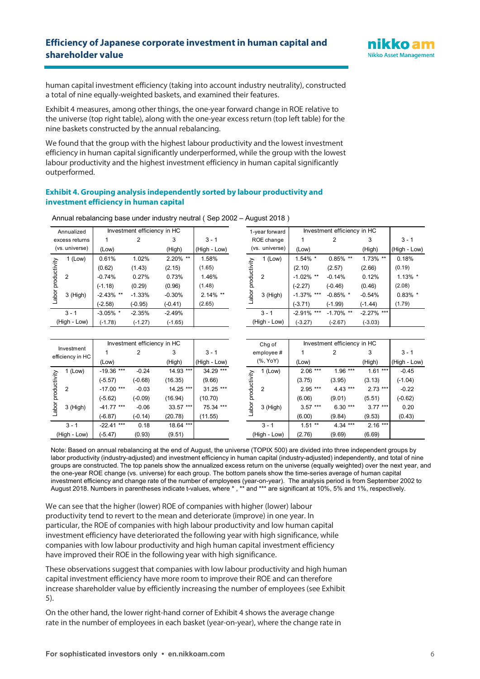

human capital investment efficiency (taking into account industry neutrality), constructed a total of nine equally-weighted baskets, and examined their features.

Exhibit 4 measures, among other things, the one-year forward change in ROE relative to the universe (top right table), along with the one-year excess return (top left table) for the nine baskets constructed by the annual rebalancing.

We found that the group with the highest labour productivity and the lowest investment efficiency in human capital significantly underperformed, while the group with the lowest labour productivity and the highest investment efficiency in human capital significantly outperformed.

#### **Exhibit 4. Grouping analysis independently sorted by labour productivity and investment efficiency in human capital**

| Annualized            |            |                                                                                  | Investment efficiency in HC |             |              | 1-year forward |              | Investment efficiency in HC |               |              |               |            |
|-----------------------|------------|----------------------------------------------------------------------------------|-----------------------------|-------------|--------------|----------------|--------------|-----------------------------|---------------|--------------|---------------|------------|
| excess returns        |            |                                                                                  |                             | 3           | $3 - 1$      |                | ROE change   |                             |               |              | 3             | $3 - 1$    |
| (vs. universe)        |            | (Low)                                                                            |                             | (High)      | (High - Low) |                |              | (vs. universe)              | (Low)         |              | (High)        | (High - Lo |
| productivity<br>Labor | 1 (Low)    | 0.61%                                                                            | 1.02%                       | $2.20\%$ ** | 1.58%        |                |              | 1 (Low)                     | 1.54% *       | $0.85\%$ **  | $1.73\%$ **   | 0.18%      |
|                       |            | (0.62)<br>(1.43)<br>(2.15)<br>(1.65)<br>$-0.74%$<br>0.27%<br>0.73%<br>1.46%<br>2 |                             |             |              | ctivity        |              |                             | (2.10)        | (2.57)       | (2.66)        | (0.19)     |
|                       |            |                                                                                  |                             | 2           | $-1.02\%$ ** | $-0.14%$       | 0.12%        | $1.13\%$ '                  |               |              |               |            |
|                       | $3$ (High) | $(-1.18)$                                                                        | (0.29)                      | (0.96)      | (1.48)       |                |              |                             | $(-2.27)$     | $(-0.46)$    | (0.46)        | (2.08)     |
|                       |            | $-2.43\%$ **                                                                     | $-1.33%$                    | $-0.30%$    | $2.14\%$ **  |                | abo          | 3 (High)                    | $-1.37\%$ *** | $-0.85\%$ *  | $-0.54%$      | 0.83%      |
|                       |            | $(-2.58)$                                                                        | $(-0.95)$                   | $(-0.41)$   | (2.65)       |                |              |                             | $(-3.71)$     | $(-1.99)$    | $(-1.44)$     | (1.79)     |
|                       | $3 - 1$    | $-3.05\%$ *                                                                      | $-2.35%$                    | $-2.49%$    |              |                |              | $3 - 1$                     | $-2.91\%$ *** | $-1.70\%$ ** | $-2.27\%$ *** |            |
| (High - Low)          |            | $(-1.78)$                                                                        | $(-1.27)$                   | $(-1.65)$   |              |                | (High - Low) |                             | $(-3.27)$     | $(-2.67)$    | $(-3.03)$     |            |

Labor productivity

Annual rebalancing base under industry neutral ( Sep 2002 – August 2018 )

| nualized   | Investment efficiency in HC |           |             | 1-year forward |                              | Investment efficiency in HC |              |               |              |               |            |
|------------|-----------------------------|-----------|-------------|----------------|------------------------------|-----------------------------|--------------|---------------|--------------|---------------|------------|
| ss returns |                             |           | 3           | $3 - 1$        | ROE change<br>(vs. universe) |                             |              |               |              | 3             | $3 - 1$    |
| universe)  | (Low)                       |           | (High)      | (High - Low)   |                              |                             | (Low)        |               | (High)       | (High - Low)  |            |
| $1$ (Low)  | 0.61%                       | 1.02%     | $2.20\%$ ** | 1.58%          |                              |                             | $1$ (Low)    | $1.54\%$ *    | $0.85\%$ **  | $1.73\%$ **   | 0.18%      |
|            | (0.62)                      | (1.43)    | (2.15)      | (1.65)         |                              | productivity                |              | (2.10)        | (2.57)       | (2.66)        | (0.19)     |
|            | $-0.74%$                    | 0.27%     | 0.73%       | 1.46%          |                              |                             | 2            | $-1.02\%$ **  | $-0.14%$     | 0.12%         | $1.13\%$ * |
|            | $(-1.18)$                   | (0.29)    | (0.96)      | (1.48)         |                              |                             |              | $(-2.27)$     | $(-0.46)$    | (0.46)        | (2.08)     |
| 3 (High)   | $-2.43\%$ **                | $-1.33%$  | $-0.30%$    | $2.14\%$ **    |                              | Tode                        | 3 (High)     | $-1.37\%$ *** | $-0.85\%$ *  | $-0.54%$      | $0.83\%$ * |
|            | $(-2.58)$                   | $(-0.95)$ | $(-0.41)$   | (2.65)         |                              |                             |              | $(-3.71)$     | $(-1.99)$    | $(-1.44)$     | (1.79)     |
| $3 - 1$    | $-3.05\%$ *                 | $-2.35%$  | $-2.49%$    |                |                              |                             | $3 - 1$      | $-2.91\%$ *** | $-1.70\%$ ** | $-2.27\%$ *** |            |
| រh - Low)  | $(-1.78)$                   | $(-1.27)$ | $(-1.65)$   |                |                              |                             | (High - Low) | $(-3.27)$     | $(-2.67)$    | $(-3.03)$     |            |

|          |                                                      |           |            |                             |           | Chg of       |              |           |           |                             |
|----------|------------------------------------------------------|-----------|------------|-----------------------------|-----------|--------------|--------------|-----------|-----------|-----------------------------|
|          |                                                      | 2         | 3          | $3 - 1$                     |           | employee#    |              | 2         | 3         | $3 - 1$                     |
|          | (Low)                                                |           | (High)     | (High - Low)                |           | (%, YoY)     | (Low)        |           | (High)    | (High - Low)                |
| (Low)    | $-19.36$ ***                                         | $-0.24$   | $14.93***$ | 34.29 ***                   |           | $1$ (Low)    | $2.06***$    | $1.96***$ | $1.61***$ | $-0.45$                     |
|          | $(-5.57)$                                            | $(-0.68)$ | (16.35)    | (9.66)                      |           |              | (3.75)       | (3.95)    | (3.13)    | $(-1.04)$                   |
| 2        | $-17.00$ ***<br>$14.25***$<br>$31.25$ ***<br>$-0.03$ |           | 2          | $2.95***$                   | $4.43***$ | $2.73$ ***   | $-0.22$      |           |           |                             |
| 3 (High) | (-5.62)                                              | $(-0.09)$ | (16.94)    | (10.70)                     | <u>ල්</u> |              | (6.06)       | (9.01)    | (5.51)    | $(-0.62)$                   |
|          | $-41.77$ ***                                         | $-0.06$   | $33.57***$ | 75.34 ***                   |           | 3 (High)     | $3.57***$    | $6.30***$ | $3.77***$ | 0.20                        |
|          | $(-6.87)$                                            | $(-0.14)$ | (20.78)    | (11.55)                     |           |              | (6.00)       | (9.84)    | (9.53)    | (0.43)                      |
| $3 - 1$  | $-22.41$ ***                                         | 0.18      | 18.64 ***  |                             |           | $3 - 1$      | $1.51$ **    | $4.34***$ | $2.16***$ |                             |
|          | $(-5.47)$                                            | (0.93)    | (9.51)     |                             |           | (High - Low) | (2.76)       | (9.69)    | (6.69)    |                             |
|          | Investment<br>efficiency in HC<br>(High - Low)       |           |            | Investment efficiency in HC |           |              | productivity |           |           | Investment efficiency in HC |

Note: Based on annual rebalancing at the end of August, the universe (TOPIX 500) are divided into three independent groups by labor productivity (industry-adjusted) and investment efficiency in human capital (industry-adjusted) independently, and total of nine groups are constructed. The top panels show the annualized excess return on the universe (equally weighted) over the next year, and the one-year ROE change (vs. universe) for each group. The bottom panels show the time-series average of human capital investment efficiency and change rate of the number of employees (year-on-year). The analysis period is from September 2002 to August 2018. Numbers in parentheses indicate t-values, where \* , \*\* and \*\*\* are significant at 10%, 5% and 1%, respectively.

We can see that the higher (lower) ROE of companies with higher (lower) labour productivity tend to revert to the mean and deteriorate (improve) in one year. In particular, the ROE of companies with high labour productivity and low human capital investment efficiency have deteriorated the following year with high significance, while companies with low labour productivity and high human capital investment efficiency have improved their ROE in the following year with high significance.

These observations suggest that companies with low labour productivity and high human capital investment efficiency have more room to improve their ROE and can therefore increase shareholder value by efficiently increasing the number of employees (see Exhibit 5).

On the other hand, the lower right-hand corner of Exhibit 4 shows the average change rate in the number of employees in each basket (year-on-year), where the change rate in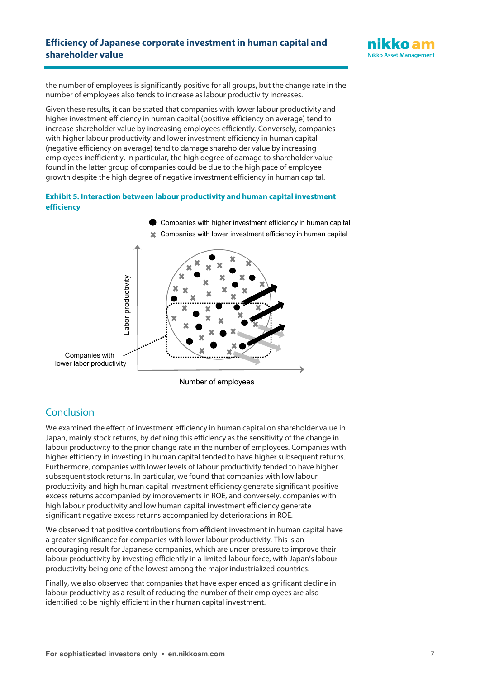

the number of employees is significantly positive for all groups, but the change rate in the number of employees also tends to increase as labour productivity increases.

Given these results, it can be stated that companies with lower labour productivity and higher investment efficiency in human capital (positive efficiency on average) tend to increase shareholder value by increasing employees efficiently. Conversely, companies with higher labour productivity and lower investment efficiency in human capital (negative efficiency on average) tend to damage shareholder value by increasing employees inefficiently. In particular, the high degree of damage to shareholder value found in the latter group of companies could be due to the high pace of employee growth despite the high degree of negative investment efficiency in human capital.

#### **Exhibit 5. Interaction between labour productivity and human capital investment efficiency**



Number of employees

# **Conclusion**

We examined the effect of investment efficiency in human capital on shareholder value in Japan, mainly stock returns, by defining this efficiency as the sensitivity of the change in labour productivity to the prior change rate in the number of employees. Companies with higher efficiency in investing in human capital tended to have higher subsequent returns. Furthermore, companies with lower levels of labour productivity tended to have higher subsequent stock returns. In particular, we found that companies with low labour productivity and high human capital investment efficiency generate significant positive excess returns accompanied by improvements in ROE, and conversely, companies with high labour productivity and low human capital investment efficiency generate significant negative excess returns accompanied by deteriorations in ROE.

We observed that positive contributions from efficient investment in human capital have a greater significance for companies with lower labour productivity. This is an encouraging result for Japanese companies, which are under pressure to improve their labour productivity by investing efficiently in a limited labour force, with Japan's labour productivity being one of the lowest among the major industrialized countries.

Finally, we also observed that companies that have experienced a significant decline in labour productivity as a result of reducing the number of their employees are also identified to be highly efficient in their human capital investment.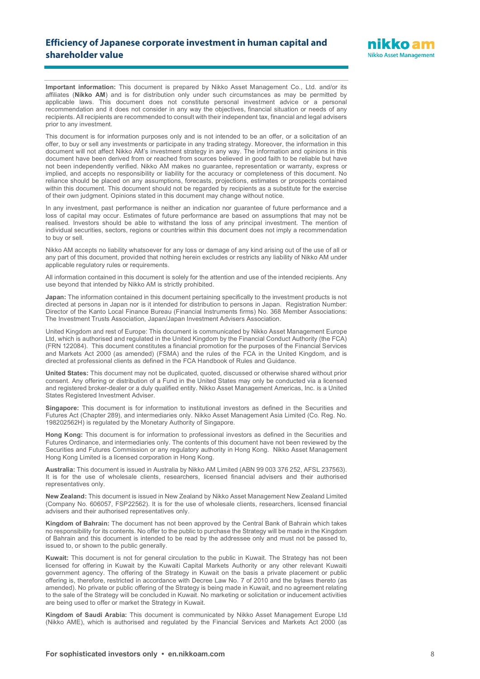

**Important information:** This document is prepared by Nikko Asset Management Co., Ltd. and/or its affiliates (**Nikko AM**) and is for distribution only under such circumstances as may be permitted by applicable laws. This document does not constitute personal investment advice or a personal recommendation and it does not consider in any way the objectives, financial situation or needs of any recipients. All recipients are recommended to consult with their independent tax, financial and legal advisers prior to any investment.

This document is for information purposes only and is not intended to be an offer, or a solicitation of an offer, to buy or sell any investments or participate in any trading strategy. Moreover, the information in this document will not affect Nikko AM's investment strategy in any way. The information and opinions in this document have been derived from or reached from sources believed in good faith to be reliable but have not been independently verified. Nikko AM makes no guarantee, representation or warranty, express or implied, and accepts no responsibility or liability for the accuracy or completeness of this document. No reliance should be placed on any assumptions, forecasts, projections, estimates or prospects contained within this document. This document should not be regarded by recipients as a substitute for the exercise of their own judgment. Opinions stated in this document may change without notice.

In any investment, past performance is neither an indication nor guarantee of future performance and a loss of capital may occur. Estimates of future performance are based on assumptions that may not be realised. Investors should be able to withstand the loss of any principal investment. The mention of individual securities, sectors, regions or countries within this document does not imply a recommendation to buy or sell.

Nikko AM accepts no liability whatsoever for any loss or damage of any kind arising out of the use of all or any part of this document, provided that nothing herein excludes or restricts any liability of Nikko AM under applicable regulatory rules or requirements.

All information contained in this document is solely for the attention and use of the intended recipients. Any use beyond that intended by Nikko AM is strictly prohibited.

**Japan:** The information contained in this document pertaining specifically to the investment products is not directed at persons in Japan nor is it intended for distribution to persons in Japan. Registration Number: Director of the Kanto Local Finance Bureau (Financial Instruments firms) No. 368 Member Associations: The Investment Trusts Association, Japan/Japan Investment Advisers Association.

United Kingdom and rest of Europe: This document is communicated by Nikko Asset Management Europe Ltd, which is authorised and regulated in the United Kingdom by the Financial Conduct Authority (the FCA) (FRN 122084). This document constitutes a financial promotion for the purposes of the Financial Services and Markets Act 2000 (as amended) (FSMA) and the rules of the FCA in the United Kingdom, and is directed at professional clients as defined in the FCA Handbook of Rules and Guidance.

**United States:** This document may not be duplicated, quoted, discussed or otherwise shared without prior consent. Any offering or distribution of a Fund in the United States may only be conducted via a licensed and registered broker-dealer or a duly qualified entity. Nikko Asset Management Americas, Inc. is a United States Registered Investment Adviser.

**Singapore:** This document is for information to institutional investors as defined in the Securities and Futures Act (Chapter 289), and intermediaries only. Nikko Asset Management Asia Limited (Co. Reg. No. 198202562H) is regulated by the Monetary Authority of Singapore.

**Hong Kong:** This document is for information to professional investors as defined in the Securities and Futures Ordinance, and intermediaries only. The contents of this document have not been reviewed by the Securities and Futures Commission or any regulatory authority in Hong Kong. Nikko Asset Management Hong Kong Limited is a licensed corporation in Hong Kong.

**Australia:** This document is issued in Australia by Nikko AM Limited (ABN 99 003 376 252, AFSL 237563). It is for the use of wholesale clients, researchers, licensed financial advisers and their authorised representatives only.

**New Zealand:** This document is issued in New Zealand by Nikko Asset Management New Zealand Limited (Company No. 606057, FSP22562). It is for the use of wholesale clients, researchers, licensed financial advisers and their authorised representatives only.

**Kingdom of Bahrain:** The document has not been approved by the Central Bank of Bahrain which takes no responsibility for its contents. No offer to the public to purchase the Strategy will be made in the Kingdom of Bahrain and this document is intended to be read by the addressee only and must not be passed to, issued to, or shown to the public generally.

**Kuwait:** This document is not for general circulation to the public in Kuwait. The Strategy has not been licensed for offering in Kuwait by the Kuwaiti Capital Markets Authority or any other relevant Kuwaiti government agency. The offering of the Strategy in Kuwait on the basis a private placement or public offering is, therefore, restricted in accordance with Decree Law No. 7 of 2010 and the bylaws thereto (as amended). No private or public offering of the Strategy is being made in Kuwait, and no agreement relating to the sale of the Strategy will be concluded in Kuwait. No marketing or solicitation or inducement activities are being used to offer or market the Strategy in Kuwait.

**Kingdom of Saudi Arabia:** This document is communicated by Nikko Asset Management Europe Ltd (Nikko AME), which is authorised and regulated by the Financial Services and Markets Act 2000 (as